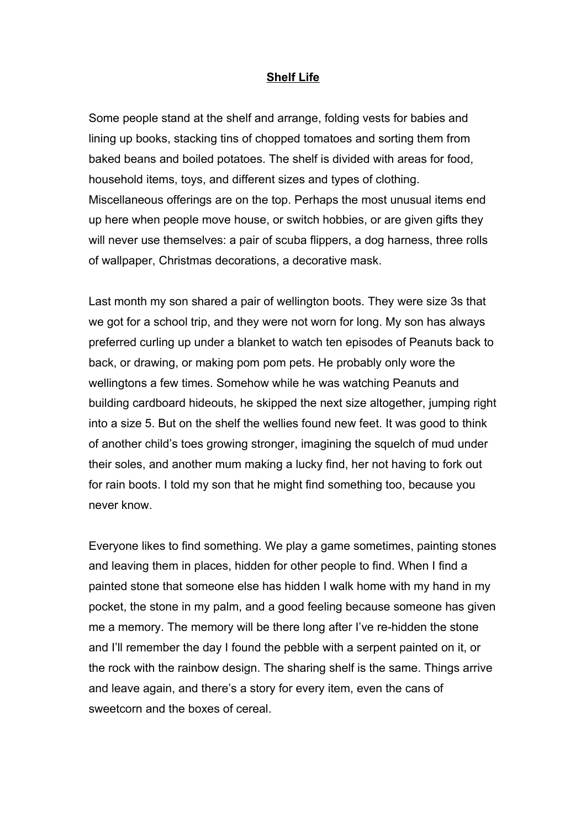## **Shelf Life**

Some people stand at the shelf and arrange, folding vests for babies and lining up books, stacking tins of chopped tomatoes and sorting them from baked beans and boiled potatoes. The shelf is divided with areas for food, household items, toys, and different sizes and types of clothing. Miscellaneous offerings are on the top. Perhaps the most unusual items end up here when people move house, or switch hobbies, or are given gifts they will never use themselves: a pair of scuba flippers, a dog harness, three rolls of wallpaper, Christmas decorations, a decorative mask.

Last month my son shared a pair of wellington boots. They were size 3s that we got for a school trip, and they were not worn for long. My son has always preferred curling up under a blanket to watch ten episodes of Peanuts back to back, or drawing, or making pom pom pets. He probably only wore the wellingtons a few times. Somehow while he was watching Peanuts and building cardboard hideouts, he skipped the next size altogether, jumping right into a size 5. But on the shelf the wellies found new feet. It was good to think of another child's toes growing stronger, imagining the squelch of mud under their soles, and another mum making a lucky find, her not having to fork out for rain boots. I told my son that he might find something too, because you never know.

Everyone likes to find something. We play a game sometimes, painting stones and leaving them in places, hidden for other people to find. When I find a painted stone that someone else has hidden I walk home with my hand in my pocket, the stone in my palm, and a good feeling because someone has given me a memory. The memory will be there long after I've re-hidden the stone and I'll remember the day I found the pebble with a serpent painted on it, or the rock with the rainbow design. The sharing shelf is the same. Things arrive and leave again, and there's a story for every item, even the cans of sweetcorn and the boxes of cereal.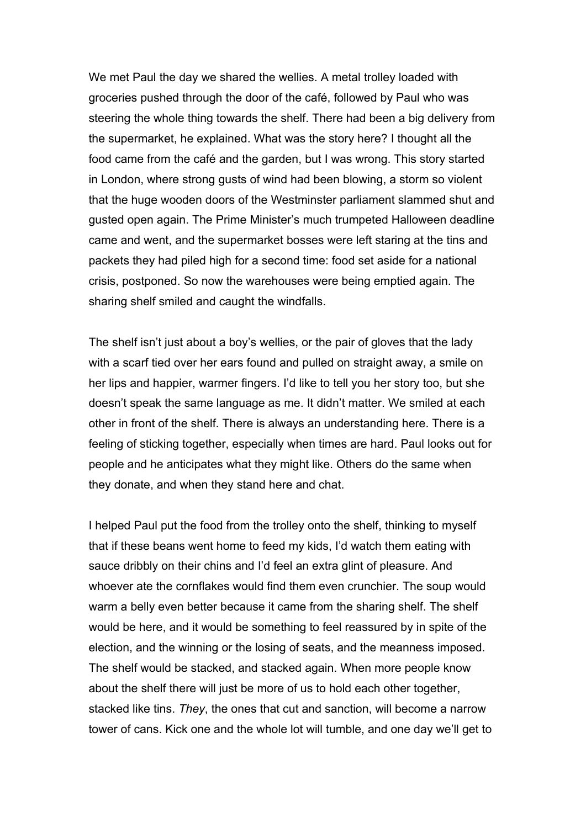We met Paul the day we shared the wellies. A metal trolley loaded with groceries pushed through the door of the café, followed by Paul who was steering the whole thing towards the shelf. There had been a big delivery from the supermarket, he explained. What was the story here? I thought all the food came from the café and the garden, but I was wrong. This story started in London, where strong gusts of wind had been blowing, a storm so violent that the huge wooden doors of the Westminster parliament slammed shut and gusted open again. The Prime Minister's much trumpeted Halloween deadline came and went, and the supermarket bosses were left staring at the tins and packets they had piled high for a second time: food set aside for a national crisis, postponed. So now the warehouses were being emptied again. The sharing shelf smiled and caught the windfalls.

The shelf isn't just about a boy's wellies, or the pair of gloves that the lady with a scarf tied over her ears found and pulled on straight away, a smile on her lips and happier, warmer fingers. I'd like to tell you her story too, but she doesn't speak the same language as me. It didn't matter. We smiled at each other in front of the shelf. There is always an understanding here. There is a feeling of sticking together, especially when times are hard. Paul looks out for people and he anticipates what they might like. Others do the same when they donate, and when they stand here and chat.

I helped Paul put the food from the trolley onto the shelf, thinking to myself that if these beans went home to feed my kids, I'd watch them eating with sauce dribbly on their chins and I'd feel an extra glint of pleasure. And whoever ate the cornflakes would find them even crunchier. The soup would warm a belly even better because it came from the sharing shelf. The shelf would be here, and it would be something to feel reassured by in spite of the election, and the winning or the losing of seats, and the meanness imposed. The shelf would be stacked, and stacked again. When more people know about the shelf there will just be more of us to hold each other together, stacked like tins. *They*, the ones that cut and sanction, will become a narrow tower of cans. Kick one and the whole lot will tumble, and one day we'll get to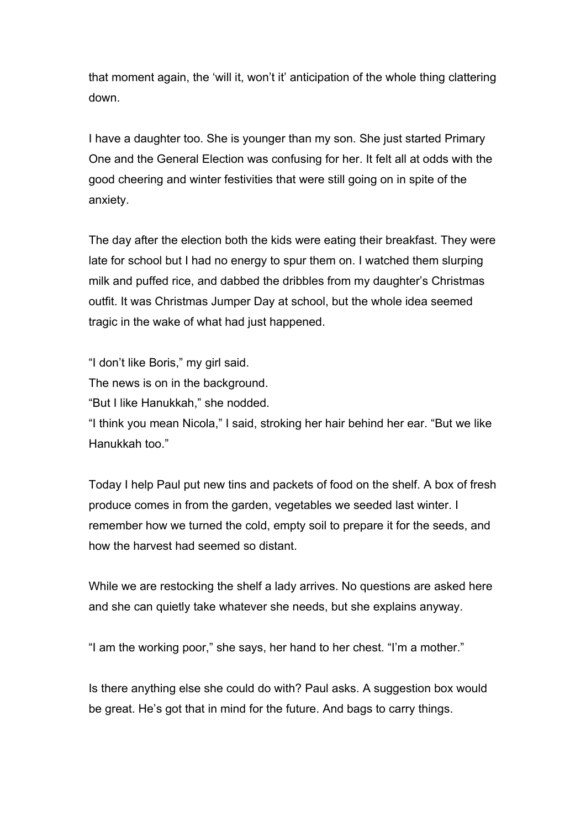that moment again, the 'will it, won't it' anticipation of the whole thing clattering down.

I have a daughter too. She is younger than my son. She just started Primary One and the General Election was confusing for her. It felt all at odds with the good cheering and winter festivities that were still going on in spite of the anxiety.

The day after the election both the kids were eating their breakfast. They were late for school but I had no energy to spur them on. I watched them slurping milk and puffed rice, and dabbed the dribbles from my daughter's Christmas outfit. It was Christmas Jumper Day at school, but the whole idea seemed tragic in the wake of what had just happened.

"I don't like Boris," my girl said.

The news is on in the background.

"But I like Hanukkah," she nodded.

"I think you mean Nicola," I said, stroking her hair behind her ear. "But we like Hanukkah too."

Today I help Paul put new tins and packets of food on the shelf. A box of fresh produce comes in from the garden, vegetables we seeded last winter. I remember how we turned the cold, empty soil to prepare it for the seeds, and how the harvest had seemed so distant.

While we are restocking the shelf a lady arrives. No questions are asked here and she can quietly take whatever she needs, but she explains anyway.

"I am the working poor," she says, her hand to her chest. "I'm a mother."

Is there anything else she could do with? Paul asks. A suggestion box would be great. He's got that in mind for the future. And bags to carry things.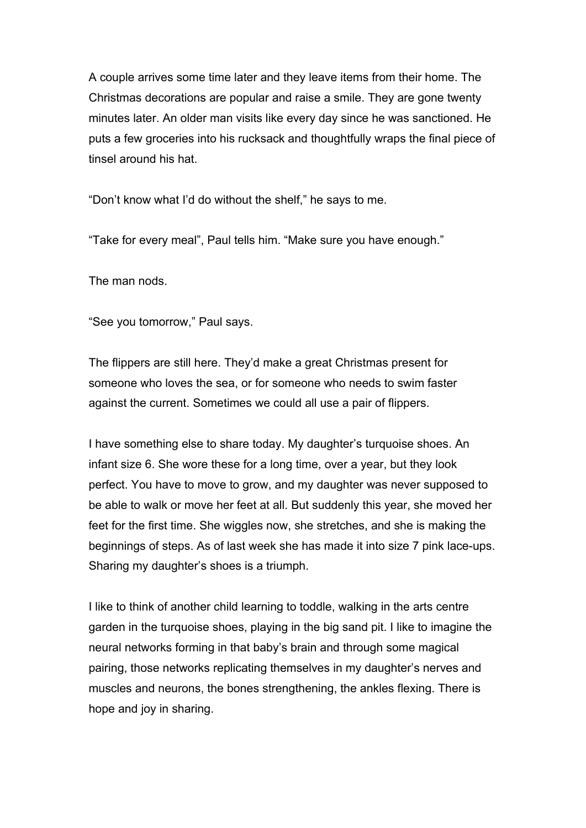A couple arrives some time later and they leave items from their home. The Christmas decorations are popular and raise a smile. They are gone twenty minutes later. An older man visits like every day since he was sanctioned. He puts a few groceries into his rucksack and thoughtfully wraps the final piece of tinsel around his hat.

"Don't know what I'd do without the shelf," he says to me.

"Take for every meal", Paul tells him. "Make sure you have enough."

The man nods.

"See you tomorrow," Paul says.

The flippers are still here. They'd make a great Christmas present for someone who loves the sea, or for someone who needs to swim faster against the current. Sometimes we could all use a pair of flippers.

I have something else to share today. My daughter's turquoise shoes. An infant size 6. She wore these for a long time, over a year, but they look perfect. You have to move to grow, and my daughter was never supposed to be able to walk or move her feet at all. But suddenly this year, she moved her feet for the first time. She wiggles now, she stretches, and she is making the beginnings of steps. As of last week she has made it into size 7 pink lace-ups. Sharing my daughter's shoes is a triumph.

I like to think of another child learning to toddle, walking in the arts centre garden in the turquoise shoes, playing in the big sand pit. I like to imagine the neural networks forming in that baby's brain and through some magical pairing, those networks replicating themselves in my daughter's nerves and muscles and neurons, the bones strengthening, the ankles flexing. There is hope and joy in sharing.